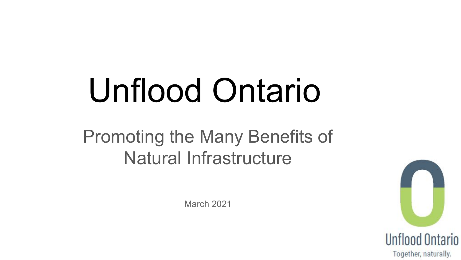# Unflood Ontario

## Promoting the Many Benefits of Natural Infrastructure

March 2021

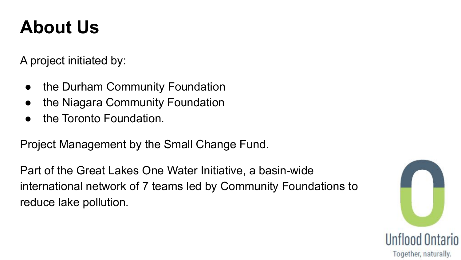## **About Us**

A project initiated by:

- the Durham Community Foundation
- the Niagara Community Foundation
- the Toronto Foundation

Project Management by the Small Change Fund.

Part of the Great Lakes One Water Initiative, a basin-wide international network of 7 teams led by Community Foundations to reduce lake pollution.

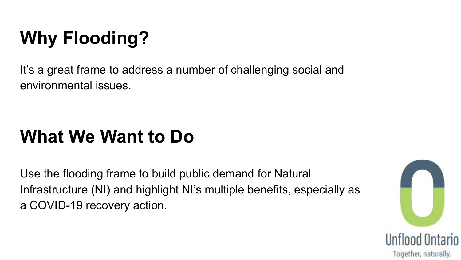## **Why Flooding?**

It's a great frame to address a number of challenging social and environmental issues.

## **What We Want to Do**

Use the flooding frame to build public demand for Natural Infrastructure (NI) and highlight NI's multiple benefits, especially as a COVID-19 recovery action.

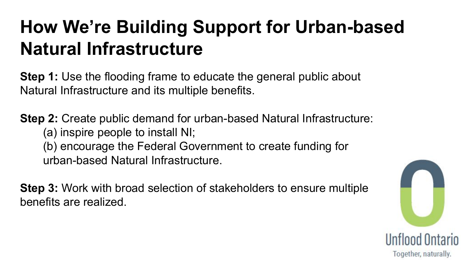## **How We're Building Support for Urban-based Natural Infrastructure**

**Step 1:** Use the flooding frame to educate the general public about Natural Infrastructure and its multiple benefits.

**Step 2:** Create public demand for urban-based Natural Infrastructure: (a) inspire people to install NI; (b) encourage the Federal Government to create funding for urban-based Natural Infrastructure.

**Step 3:** Work with broad selection of stakeholders to ensure multiple benefits are realized.

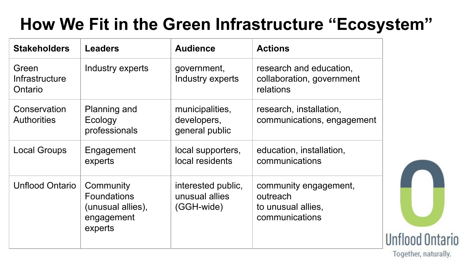#### **How We Fit in the Green Infrastructure "Ecosystem"**

| <b>Stakeholders</b>                | <b>Leaders</b>                                                                | <b>Audience</b>                                    | <b>Actions</b>                                                            |                 |
|------------------------------------|-------------------------------------------------------------------------------|----------------------------------------------------|---------------------------------------------------------------------------|-----------------|
| Green<br>Infrastructure<br>Ontario | Industry experts                                                              | government,<br>Industry experts                    | research and education,<br>collaboration, government<br>relations         |                 |
| Conservation<br><b>Authorities</b> | Planning and<br>Ecology<br>professionals                                      | municipalities,<br>developers,<br>general public   | research, installation,<br>communications, engagement                     |                 |
| <b>Local Groups</b>                | Engagement<br>experts                                                         | local supporters,<br>local residents               | education, installation,<br>communications                                |                 |
| Unflood Ontario                    | Community<br><b>Foundations</b><br>(unusual allies),<br>engagement<br>experts | interested public,<br>unusual allies<br>(GGH-wide) | community engagement,<br>outreach<br>to unusual allies,<br>communications |                 |
|                                    |                                                                               |                                                    |                                                                           | Unflood Ontario |

Together, naturally.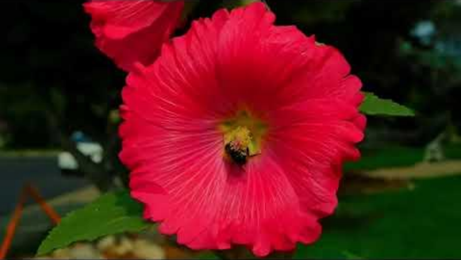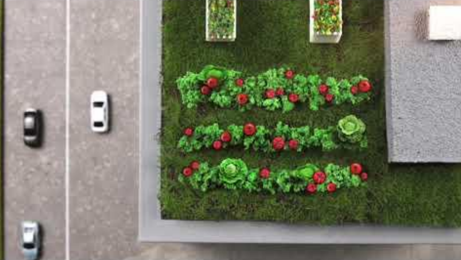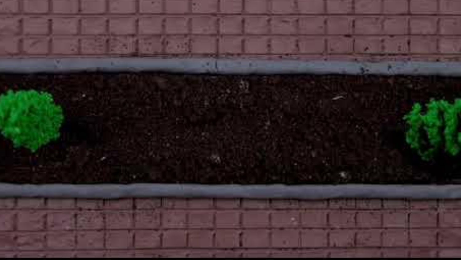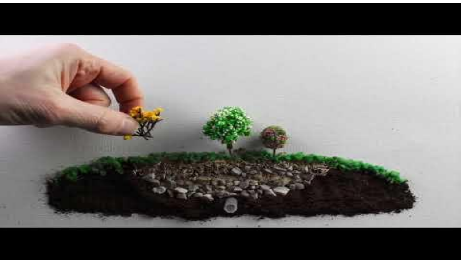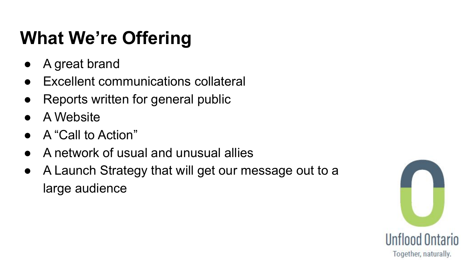## **What We're Offering**

- A great brand
- **Excellent communications collateral**
- Reports written for general public
- A Website
- A "Call to Action"
- A network of usual and unusual allies
- A Launch Strategy that will get our message out to a large audience

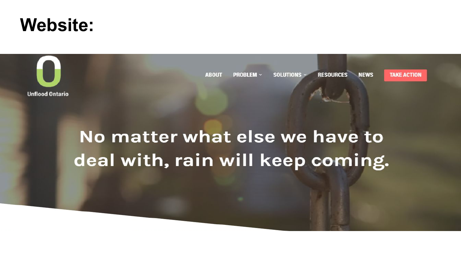#### **Website:**

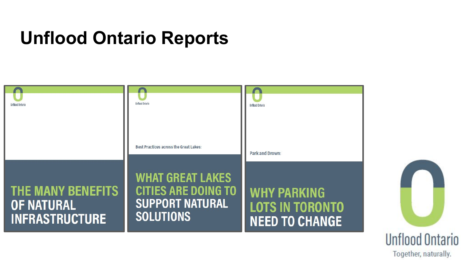#### **Unflood Ontario Reports**



**Unflood Ontario** Together, naturally.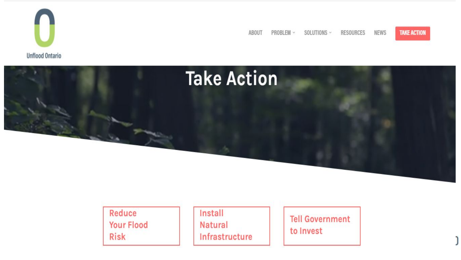



J

**Reduce Your Flood Risk** 

Install **Natural** Infrastructure

**Take Action** 

**Tell Government** to Invest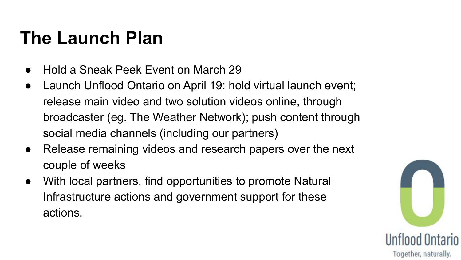#### **The Launch Plan**

- Hold a Sneak Peek Event on March 29
- Launch Unflood Ontario on April 19: hold virtual launch event; release main video and two solution videos online, through broadcaster (eg. The Weather Network); push content through social media channels (including our partners)
- Release remaining videos and research papers over the next couple of weeks
- With local partners, find opportunities to promote Natural Infrastructure actions and government support for these actions.

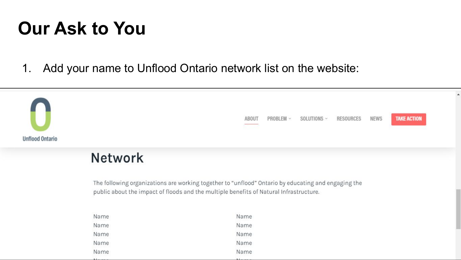#### **Our Ask to You**

1. Add your name to Unflood Ontario network list on the website:



| lame | Name |
|------|------|
| lame | Name |
| lame | Name |
| lame | Name |
|      |      |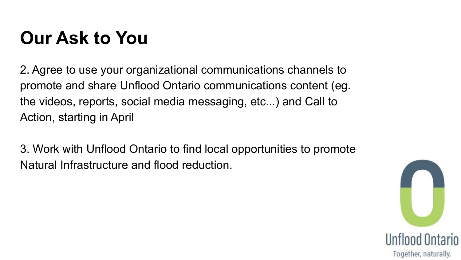### **Our Ask to You**

2. Agree to use your organizational communications channels to promote and share Unflood Ontario communications content (eg. the videos, reports, social media messaging, etc...) and Call to Action, starting in April

3. Work with Unflood Ontario to find local opportunities to promote Natural Infrastructure and flood reduction.